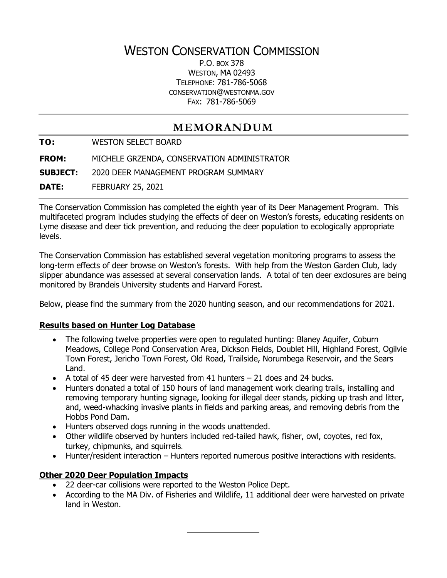# WESTON CONSERVATION COMMISSION

P.O. BOX 378 WESTON, MA 02493 TELEPHONE: 781-786-5068 CONSERVATION@WESTONMA.GOV FAX: 781-786-5069

## **MEMORANDUM**

**TO:** WESTON SELECT BOARD

**FROM:** MICHELE GRZENDA, CONSERVATION ADMINISTRATOR

**SUBJECT:** 2020 DEER MANAGEMENT PROGRAM SUMMARY

**DATE:** FEBRUARY 25, 2021

The Conservation Commission has completed the eighth year of its Deer Management Program. This multifaceted program includes studying the effects of deer on Weston's forests, educating residents on Lyme disease and deer tick prevention, and reducing the deer population to ecologically appropriate levels.

The Conservation Commission has established several vegetation monitoring programs to assess the long-term effects of deer browse on Weston's forests. With help from the Weston Garden Club, lady slipper abundance was assessed at several conservation lands. A total of ten deer exclosures are being monitored by Brandeis University students and Harvard Forest.

Below, please find the summary from the 2020 hunting season, and our recommendations for 2021.

### **Results based on Hunter Log Database**

- The following twelve properties were open to regulated hunting: Blaney Aquifer, Coburn Meadows, College Pond Conservation Area, Dickson Fields, Doublet Hill, Highland Forest, Ogilvie Town Forest, Jericho Town Forest, Old Road, Trailside, Norumbega Reservoir, and the Sears Land.
- A total of 45 deer were harvested from 41 hunters 21 does and 24 bucks.
- Hunters donated a total of 150 hours of land management work clearing trails, installing and removing temporary hunting signage, looking for illegal deer stands, picking up trash and litter, and, weed-whacking invasive plants in fields and parking areas, and removing debris from the Hobbs Pond Dam.
- Hunters observed dogs running in the woods unattended.
- Other wildlife observed by hunters included red-tailed hawk, fisher, owl, coyotes, red fox, turkey, chipmunks, and squirrels.
- Hunter/resident interaction Hunters reported numerous positive interactions with residents.

### **Other 2020 Deer Population Impacts**

- 22 deer-car collisions were reported to the Weston Police Dept.
- According to the MA Div. of Fisheries and Wildlife, 11 additional deer were harvested on private land in Weston.